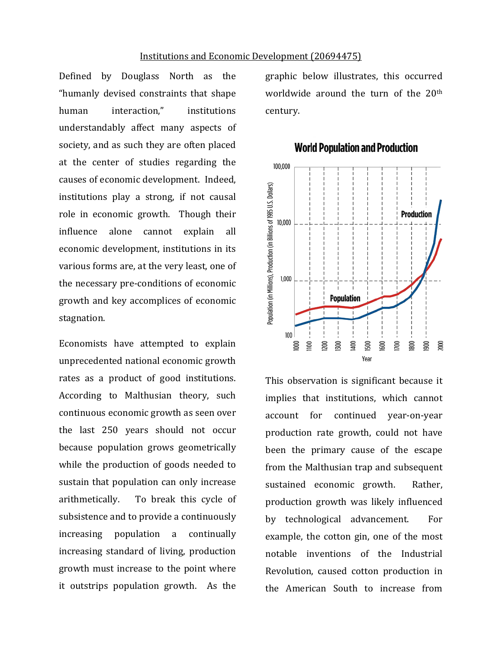Defined by Douglass North as the "humanly devised constraints that shape human interaction." institutions understandably affect many aspects of society, and as such they are often placed at the center of studies regarding the causes of economic development. Indeed, institutions play a strong, if not causal role in economic growth. Though their influence alone cannot explain all economic development, institutions in its various forms are, at the very least, one of the necessary pre-conditions of economic growth and key accomplices of economic stagnation.

Economists have attempted to explain unprecedented national economic growth rates as a product of good institutions. According to Malthusian theory, such continuous economic growth as seen over the last 250 years should not occur because population grows geometrically while the production of goods needed to sustain that population can only increase arithmetically. To break this cycle of subsistence and to provide a continuously increasing population a continually increasing standard of living, production growth must increase to the point where it outstrips population growth. As the

graphic below illustrates, this occurred worldwide around the turn of the  $20<sup>th</sup>$ century.



## **World Population and Production**

This observation is significant because it implies that institutions, which cannot account for continued year-on-year production rate growth, could not have been the primary cause of the escape from the Malthusian trap and subsequent sustained economic growth. Rather, production growth was likely influenced by technological advancement. For example, the cotton gin, one of the most notable inventions of the Industrial Revolution, caused cotton production in the American South to increase from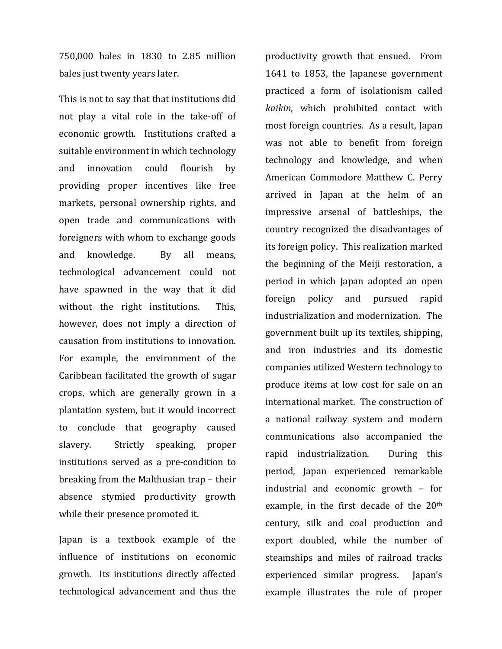750,000 bales in 1830 to 2.85 million bales just twenty years later.

This is not to say that that institutions did not play a vital role in the take-off of economic growth. Institutions crafted a suitable environment in which technology and innovation could flourish by providing proper incentives like free markets, personal ownership rights, and open trade and communications with foreigners with whom to exchange goods and knowledge. By all means, technological advancement could not have spawned in the way that it did without the right institutions. This, however, does not imply a direction of causation from institutions to innovation. For example, the environment of the Caribbean facilitated the growth of sugar crops, which are generally grown in a plantation system, but it would incorrect to conclude that geography caused slavery. Strictly speaking, proper institutions served as a pre-condition to breaking from the Malthusian trap – their absence stymied productivity growth while their presence promoted it.

Japan is a textbook example of the influence of institutions on economic growth. Its institutions directly affected technological advancement and thus the productivity growth that ensued. From 1641 to 1853, the Japanese government practiced a form of isolationism called kaikin, which prohibited contact with most foreign countries. As a result, Japan was not able to benefit from foreign technology and knowledge, and when American Commodore Matthew C. Perry arrived in Japan at the helm of an impressive arsenal of battleships, the country recognized the disadvantages of its foreign policy. This realization marked the beginning of the Meiji restoration, a period in which Japan adopted an open foreign policy and pursued rapid industrialization and modernization. The government built up its textiles, shipping, and iron industries and its domestic companies utilized Western technology to produce items at low cost for sale on an international market. The construction of a national railway system and modern communications also accompanied the rapid industrialization. During this period, Japan experienced remarkable industrial and economic growth  $-$  for example, in the first decade of the  $20<sup>th</sup>$ century, silk and coal production and export doubled, while the number of steamships and miles of railroad tracks experienced similar progress. Japan's example illustrates the role of proper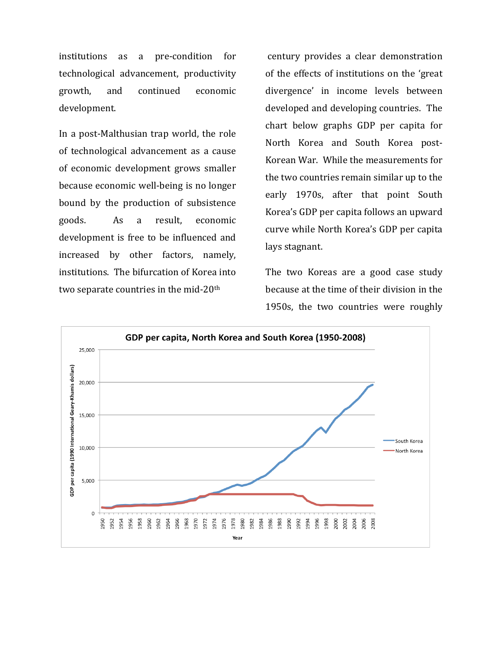institutions as a pre-condition for technological advancement, productivity growth, and continued economic development.

In a post-Malthusian trap world, the role of technological advancement as a cause of economic development grows smaller because economic well-being is no longer bound by the production of subsistence goods. As a result, economic development is free to be influenced and increased by other factors, namely, institutions. The bifurcation of Korea into two separate countries in the mid- $20<sup>th</sup>$ 

century provides a clear demonstration of the effects of institutions on the 'great divergence' in income levels between developed and developing countries. The chart below graphs GDP per capita for North Korea and South Korea post-Korean War. While the measurements for the two countries remain similar up to the early 1970s, after that point South Korea's GDP per capita follows an upward curve while North Korea's GDP per capita lays stagnant.

The two Koreas are a good case study because at the time of their division in the 1950s, the two countries were roughly